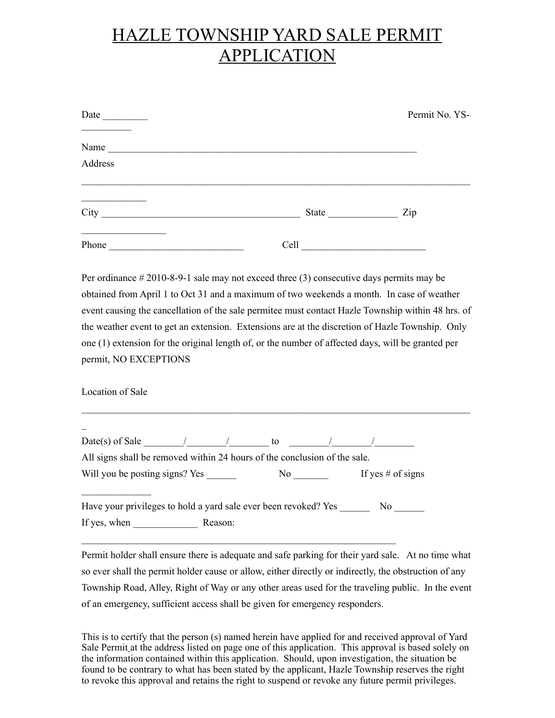## HAZLE TOWNSHIP YARD SALE PERMIT **APPLICATION**

| Date    |       | Permit No. YS- |
|---------|-------|----------------|
| Name    |       |                |
| Address |       |                |
| City    | State | Zip            |
| Phone   | Cell  |                |

Per ordinance # 2010-8-9-1 sale may not exceed three (3) consecutive days permits may be obtained from April 1 to Oct 31 and a maximum of two weekends a month. In case of weather event causing the cancellation of the sale permitee must contact Hazle Township within 48 hrs. of the weather event to get an extension. Extensions are at the discretion of Hazle Township. Only one (1) extension for the original length of, or the number of affected days, will be granted per permit, NO EXCEPTIONS

Location of Sale

| $Date(s)$ of Sale $\qquad \qquad /$ | to                                                                        |                   |
|-------------------------------------|---------------------------------------------------------------------------|-------------------|
|                                     | All signs shall be removed within 24 hours of the conclusion of the sale. |                   |
|                                     |                                                                           |                   |
| Will you be posting signs? Yes      | No                                                                        | If yes # of signs |
|                                     | Have your privileges to hold a yard sale ever been revoked? Yes           | No.               |

 $\mathcal{L}_\mathcal{L} = \{ \mathcal{L}_\mathcal{L} = \{ \mathcal{L}_\mathcal{L} = \{ \mathcal{L}_\mathcal{L} = \{ \mathcal{L}_\mathcal{L} = \{ \mathcal{L}_\mathcal{L} = \{ \mathcal{L}_\mathcal{L} = \{ \mathcal{L}_\mathcal{L} = \{ \mathcal{L}_\mathcal{L} = \{ \mathcal{L}_\mathcal{L} = \{ \mathcal{L}_\mathcal{L} = \{ \mathcal{L}_\mathcal{L} = \{ \mathcal{L}_\mathcal{L} = \{ \mathcal{L}_\mathcal{L} = \{ \mathcal{L}_\mathcal{$ 

Permit holder shall ensure there is adequate and safe parking for their yard sale. At no time what so ever shall the permit holder cause or allow, either directly or indirectly, the obstruction of any Township Road, Alley, Right of Way or any other areas used for the traveling public. In the event of an emergency, sufficient access shall be given for emergency responders.

This is to certify that the person (s) named herein have applied for and received approval of Yard Sale Permit at the address listed on page one of this application. This approval is based solely on the information contained within this application. Should, upon investigation, the situation be found to be contrary to what has been stated by the applicant, Hazle Township reserves the right to revoke this approval and retains the right to suspend or revoke any future permit privileges.